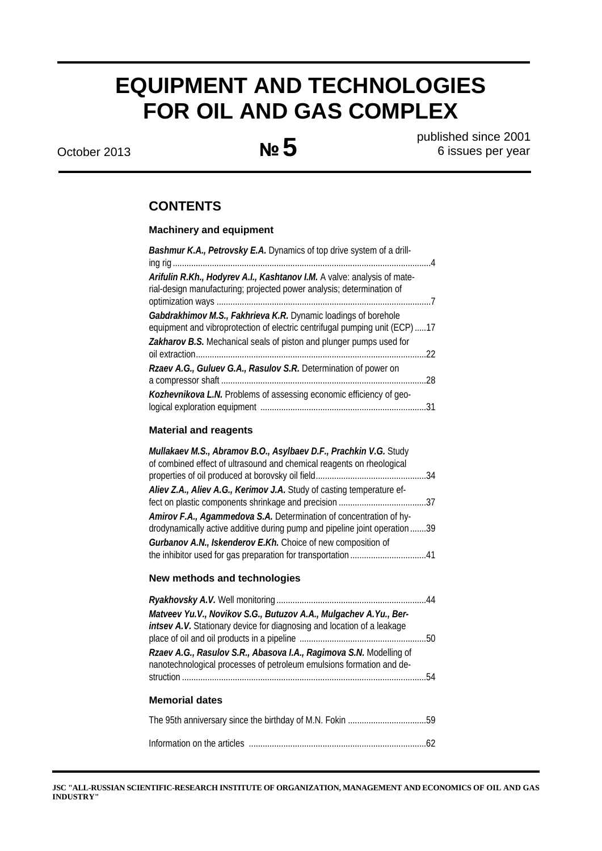# **EQUIPMENT AND TECHNOLOGIES FOR OIL AND GAS COMPLEX**

October 2013 **№5** published since 2001 6 issues per year

## **CONTENTS**

### **Machinery and equipment**

| Bashmur K.A., Petrovsky E.A. Dynamics of top drive system of a drill-                                                                                                                                                                                                                                                                                                                                                                              |
|----------------------------------------------------------------------------------------------------------------------------------------------------------------------------------------------------------------------------------------------------------------------------------------------------------------------------------------------------------------------------------------------------------------------------------------------------|
| Arifulin R.Kh., Hodyrev A.I., Kashtanov I.M. A valve: analysis of mate-<br>rial-design manufacturing; projected power analysis; determination of<br>Gabdrakhimov M.S., Fakhrieva K.R. Dynamic loadings of borehole<br>equipment and vibroprotection of electric centrifugal pumping unit (ECP) 17<br>Zakharov B.S. Mechanical seals of piston and plunger pumps used for<br>.22<br>Rzaev A.G., Guluev G.A., Rasulov S.R. Determination of power on |
|                                                                                                                                                                                                                                                                                                                                                                                                                                                    |
| Kozhevnikova L.N. Problems of assessing economic efficiency of geo-                                                                                                                                                                                                                                                                                                                                                                                |
|                                                                                                                                                                                                                                                                                                                                                                                                                                                    |
| <b>Material and reagents</b>                                                                                                                                                                                                                                                                                                                                                                                                                       |
| Mullakaev M.S., Abramov B.O., Asylbaev D.F., Prachkin V.G. Study<br>of combined effect of ultrasound and chemical reagents on rheological<br>.34<br>Aliev Z.A., Aliev A.G., Kerimov J.A. Study of casting temperature ef-<br>Amirov F.A., Agammedova S.A. Determination of concentration of hy-<br>drodynamically active additive during pump and pipeline joint operation39<br>Gurbanov A.N., Iskenderov E.Kh. Choice of new composition of       |

# *Ryakhovsky A.V.* Well monitoring .................................................................44 *Matveev Yu.V., Novikov S.G., Butuzov A.A., Mulgachev A.Yu., Berintsev A.V.* Stationary device for diagnosing and location of a leakage place of oil and oil products in a pipeline .......................................................50 *Rzaev A.G., Rasulov S.R., Abasova I.A., Ragimova S.N.* Modelling of nanotechnological processes of petroleum emulsions formation and destruction ..........................................................................................................54 **Memorial dates**  The 95th anniversary since the birthday of M.N. Fokin ..................................59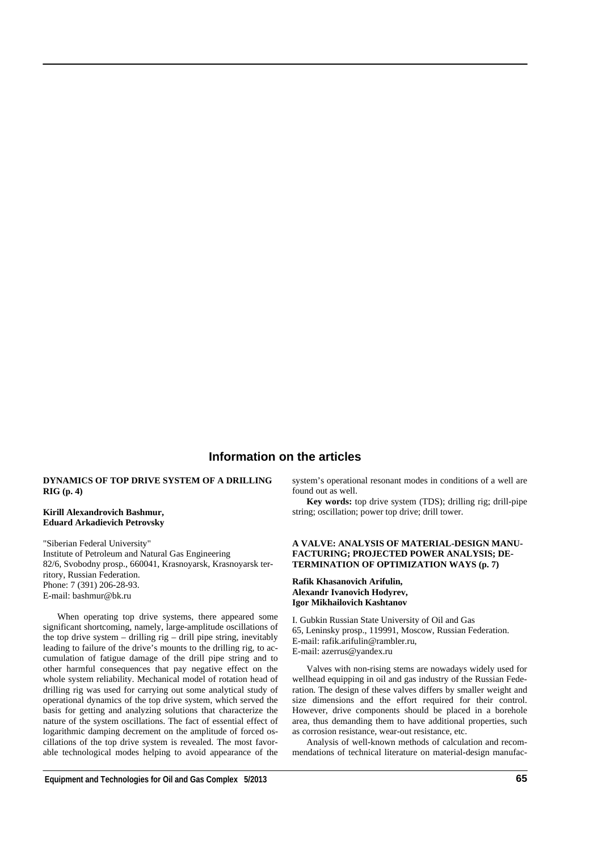## **Information on the articles**

#### **DYNAMICS OF TOP DRIVE SYSTEM OF A DRILLING RIG (р. 4)**

#### **Kirill Alexandrovich Bashmur, Eduard Arkadievich Petrovsky**

"Siberian Federal University" Institute of Petroleum and Natural Gas Engineering 82/6, Svobodny prosp., 660041, Krasnoyarsk, Krasnoyarsk territory, Russian Federation. Phone: 7 (391) 206-28-93. E-mail: bashmur@bk.ru

When operating top drive systems, there appeared some significant shortcoming, namely, large-amplitude oscillations of the top drive system – drilling rig – drill pipe string, inevitably leading to failure of the drive's mounts to the drilling rig, to accumulation of fatigue damage of the drill pipe string and to other harmful consequences that pay negative effect on the whole system reliability. Mechanical model of rotation head of drilling rig was used for carrying out some analytical study of operational dynamics of the top drive system, which served the basis for getting and analyzing solutions that characterize the nature of the system oscillations. The fact of essential effect of logarithmic damping decrement on the amplitude of forced oscillations of the top drive system is revealed. The most favorable technological modes helping to avoid appearance of the

system's operational resonant modes in conditions of a well are found out as well.

**Key words:** top drive system (TDS); drilling rig; drill-pipe string; oscillation; power top drive; drill tower.

#### **A VALVE: ANALYSIS OF MATERIAL-DESIGN MANU-FACTURING; PROJECTED POWER ANALYSIS; DE-TERMINATION OF OPTIMIZATION WAYS (р. 7)**

**Rafik Khasanovich Arifulin, Alexandr Ivanovich Hodyrev, Igor Mikhailovich Kashtanov** 

I. Gubkin Russian State University of Oil and Gas 65, Leninsky prosp., 119991, Moscow, Russian Federation. E-mail: rafik.arifulin@rambler.ru, E-mail: azerrus@yandex.ru

Valves with non-rising stems are nowadays widely used for wellhead equipping in oil and gas industry of the Russian Federation. The design of these valves differs by smaller weight and size dimensions and the effort required for their control. However, drive components should be placed in a borehole area, thus demanding them to have additional properties, such as corrosion resistance, wear-out resistance, etc.

Analysis of well-known methods of calculation and recommendations of technical literature on material-design manufac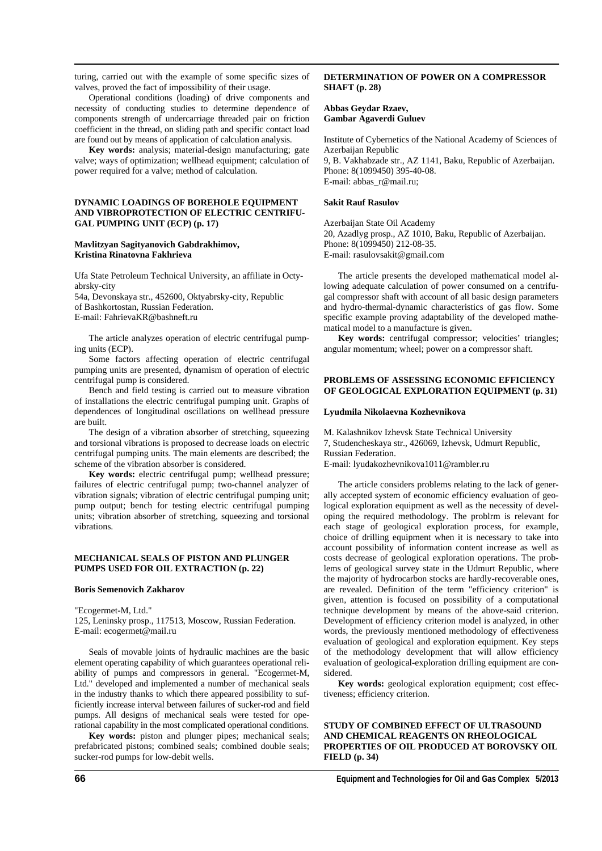turing, carried out with the example of some specific sizes of valves, proved the fact of impossibility of their usage.

Operational conditions (loading) of drive components and necessity of conducting studies to determine dependence of components strength of undercarriage threaded pair on friction coefficient in the thread, on sliding path and specific contact load are found out by means of application of calculation analysis.

**Key words:** analysis; material-design manufacturing; gate valve; ways of optimization; wellhead equipment; calculation of power required for a valve; method of calculation.

#### **DYNAMIC LOADINGS OF BOREHOLE EQUIPMENT AND VIBROPROTECTION OF ELECTRIC CENTRIFU-GAL PUMPING UNIT (ECP) (р. 17)**

#### **Mavlitzyan Sagityanovich Gabdrakhimov, Kristina Rinatovna Fakhrieva**

Ufa State Petroleum Technical University, an affiliate in Octyabrsky-city

54a, Devonskaya str., 452600, Oktyabrsky-city, Republic of Bashkortostan, Russian Federation. Е-mail: FahrievaKR@bashneft.ru

The article analyzes operation of electric centrifugal pumping units (ECP).

Some factors affecting operation of electric centrifugal pumping units are presented, dynamism of operation of electric centrifugal pump is considered.

Bench and field testing is carried out to measure vibration of installations the electric centrifugal pumping unit. Graphs of dependences of longitudinal oscillations on wellhead pressure are built.

The design of a vibration absorber of stretching, squeezing and torsional vibrations is proposed to decrease loads on electric centrifugal pumping units. The main elements are described; the scheme of the vibration absorber is considered.

**Key words:** electric centrifugal pump; wellhead pressure; failures of electric centrifugal pump; two-channel analyzer of vibration signals; vibration of electric centrifugal pumping unit; pump output; bench for testing electric centrifugal pumping units; vibration absorber of stretching, squeezing and torsional vibrations.

#### **MECHANICAL SEALS OF PISTON AND PLUNGER PUMPS USED FOR OIL EXTRACTION (р. 22)**

#### **Boris Semenovich Zakharov**

"Ecogermet-M, Ltd."

125, Leninsky prosp., 117513, Moscow, Russian Federation. E-mail: ecogermet@mail.ru

Seals of movable joints of hydraulic machines are the basic element operating capability of which guarantees operational reliability of pumps and compressors in general. "Ecogermet-M, Ltd." developed and implemented a number of mechanical seals in the industry thanks to which there appeared possibility to sufficiently increase interval between failures of sucker-rod and field pumps. All designs of mechanical seals were tested for operational capability in the most complicated operational conditions.

**Key words:** piston and plunger pipes; mechanical seals; prefabricated pistons; combined seals; combined double seals; sucker-rod pumps for low-debit wells.

#### **DETERMINATION OF POWER ON A COMPRESSOR SHAFT (р. 28)**

#### **Abbas Geydar Rzaev, Gambar Agaverdi Guluev**

Institute of Cybernetics of the National Academy of Sciences of Azerbaijan Republic 9, B. Vakhabzade str., AZ 1141, Baku, Republic of Azerbaijan. Phone: 8(1099450) 395-40-08. E-mail: abbas\_r@mail.ru;

#### **Sakit Rauf Rasulov**

Azerbaijan State Oil Academy 20, Azadlyg prosp., AZ 1010, Baku, Republic of Azerbaijan. Phone: 8(1099450) 212-08-35. E-mail: rasulovsakit@gmail.com

The article presents the developed mathematical model allowing adequate calculation of power consumed on a centrifugal compressor shaft with account of all basic design parameters and hydro-thermal-dynamic characteristics of gas flow. Some specific example proving adaptability of the developed mathematical model to a manufacture is given.

**Key words:** centrifugal compressor; velocities' triangles; angular momentum; wheel; power on a compressor shaft.

#### **PROBLEMS OF ASSESSING ECONOMIC EFFICIENCY OF GEOLOGICAL EXPLORATION EQUIPMENT (р. 31)**

#### **Lyudmila Nikolaevna Kozhevnikova**

M. Kalashnikov Izhevsk State Technical University 7, Studencheskaya str., 426069, Izhevsk, Udmurt Republic, Russian Federation.

E-mail: lyudakozhevnikova1011@rambler.ru

The article considers problems relating to the lack of generally accepted system of economic efficiency evaluation of geological exploration equipment as well as the necessity of developing the required methodology. The problrm is relevant for each stage of geological exploration process, for example, choice of drilling equipment when it is necessary to take into account possibility of information content increase as well as costs decrease of geological exploration operations. The problems of geological survey state in the Udmurt Republic, where the majority of hydrocarbon stocks are hardly-recoverable ones, are revealed. Definition of the term "efficiency criterion" is given, attention is focused on possibility of a computational technique development by means of the above-said criterion. Development of efficiency criterion model is analyzed, in other words, the previously mentioned methodology of effectiveness evaluation of geological and exploration equipment. Key steps of the methodology development that will allow efficiency evaluation of geological-exploration drilling equipment are considered.

**Key words:** geological exploration equipment; cost effectiveness; efficiency criterion.

#### **STUDY OF COMBINED EFFECT OF ULTRASOUND AND CHEMICAL REAGENTS ON RHEOLOGICAL PROPERTIES OF OIL PRODUCED AT BOROVSKY OIL FIELD (р. 34)**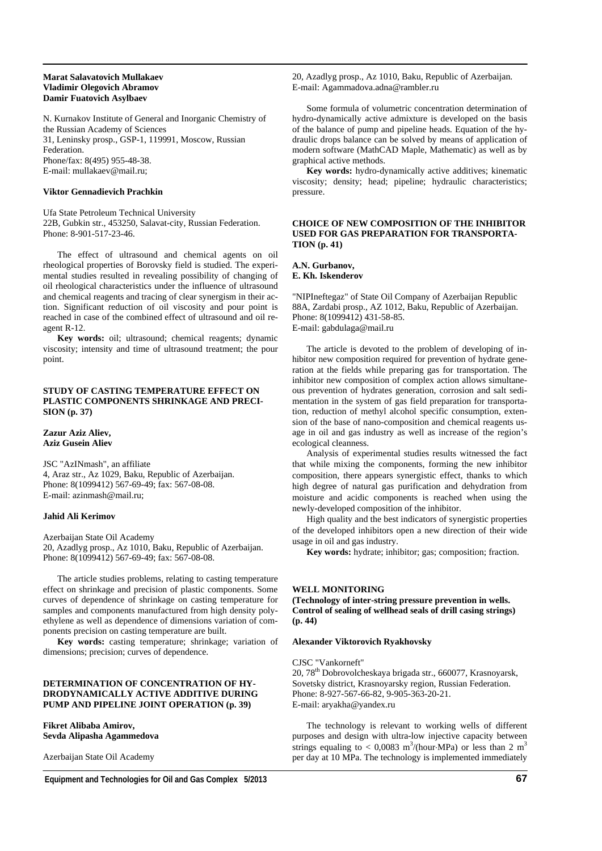#### **Marat Salavatovich Mullakaev Vladimir Olegovich Abramov Damir Fuatovich Asylbaev**

N. Kurnakov Institute of General and Inorganic Chemistry of the Russian Academy of Sciences 31, Leninsky prosp., GSP-1, 119991, Moscow, Russian Federation. Phone/fax: 8(495) 955-48-38. E-mail: mullakaev@mail.ru;

#### **Viktor Gennadievich Prachkin**

Ufa State Petroleum Technical University 22B, Gubkin str., 453250, Salavat-city, Russian Federation. Phone: 8-901-517-23-46.

The effect of ultrasound and chemical agents on oil rheological properties of Borovsky field is studied. The experimental studies resulted in revealing possibility of changing of oil rheological characteristics under the influence of ultrasound and chemical reagents and tracing of clear synergism in their action. Significant reduction of oil viscosity and pour point is reached in case of the combined effect of ultrasound and oil reagent R-12.

**Key words:** oil; ultrasound; chemical reagents; dynamic viscosity; intensity and time of ultrasound treatment; the pour point.

#### **STUDY OF CASTING TEMPERATURE EFFECT ON PLASTIC COMPONENTS SHRINKAGE AND PRECI-SION (р. 37)**

#### **Zazur Aziz Aliev, Aziz Gusein Aliev**

JSC "AzINmash", an affiliate 4, Araz str., Az 1029, Baku, Republic of Azerbaijan. Phone: 8(1099412) 567-69-49; fax: 567-08-08. E-mail: azinmash@mail.ru;

#### **Jahid Ali Kerimov**

Azerbaijan State Oil Academy 20, Azadlyg prosp., Az 1010, Baku, Republic of Azerbaijan. Phone: 8(1099412) 567-69-49; fax: 567-08-08.

The article studies problems, relating to casting temperature effect on shrinkage and precision of plastic components. Some curves of dependence of shrinkage on casting temperature for samples and components manufactured from high density polyethylene as well as dependence of dimensions variation of components precision on casting temperature are built.

**Key words:** casting temperature; shrinkage; variation of dimensions; precision; curves of dependence.

#### **DETERMINATION OF CONCENTRATION OF HY-DRODYNAMICALLY ACTIVE ADDITIVE DURING PUMP AND PIPELINE JOINT OPERATION (р. 39)**

**Fikret Alibaba Amirov, Sevda Alipasha Agammedova** 

Azerbaijan State Oil Academy

20, Azadlyg prosp., Az 1010, Baku, Republic of Azerbaijan. E-mail: Agammadova.adna@rambler.ru

Some formula of volumetric concentration determination of hydro-dynamically active admixture is developed on the basis of the balance of pump and pipeline heads. Equation of the hydraulic drops balance can be solved by means of application of modern software (MathCAD Maple, Mathematic) as well as by graphical active methods.

**Key words:** hydro-dynamically active additives; kinematic viscosity; density; head; pipeline; hydraulic characteristics; pressure.

#### **CHOICE OF NEW COMPOSITION OF THE INHIBITOR USED FOR GAS PREPARATION FOR TRANSPORTA-TION (р. 41)**

**A.N. Gurbanov,** 

**E. Kh. Iskenderov** 

"NIPIneftegaz" of State Oil Company of Azerbaijan Republic 88A, Zardabi prosp., AZ 1012, Baku, Republic of Azerbaijan. Phone: 8(1099412) 431-58-85. E-mail: gabdulaga@mail.ru

The article is devoted to the problem of developing of inhibitor new composition required for prevention of hydrate generation at the fields while preparing gas for transportation. The inhibitor new composition of complex action allows simultaneous prevention of hydrates generation, corrosion and salt sedimentation in the system of gas field preparation for transportation, reduction of methyl alcohol specific consumption, extension of the base of nano-composition and chemical reagents usage in oil and gas industry as well as increase of the region's ecological cleanness.

Analysis of experimental studies results witnessed the fact that while mixing the components, forming the new inhibitor composition, there appears synergistic effect, thanks to which high degree of natural gas purification and dehydration from moisture and acidic components is reached when using the newly-developed composition of the inhibitor.

High quality and the best indicators of synergistic properties of the developed inhibitors open a new direction of their wide usage in oil and gas industry.

**Key words:** hydrate; inhibitor; gas; composition; fraction.

#### **WELL MONITORING**

**(Technology of inter-string pressure prevention in wells. Control of sealing of wellhead seals of drill casing strings) (р. 44)** 

#### **Alexander Viktorovich Ryakhovsky**

#### CJSC "Vankorneft"

20, 78th Dobrovolcheskaya brigada str., 660077, Krasnoyarsk, Sovetsky district, Krasnoyarsky region, Russian Federation. Phone: 8-927-567-66-82, 9-905-363-20-21. E-mail: aryakha@yandex.ru

The technology is relevant to working wells of different purposes and design with ultra-low injective capacity between strings equaling to < 0,0083 m<sup>3</sup>/(hour⋅MPa) or less than 2 m<sup>3</sup> per day at 10 MPa. The technology is implemented immediately